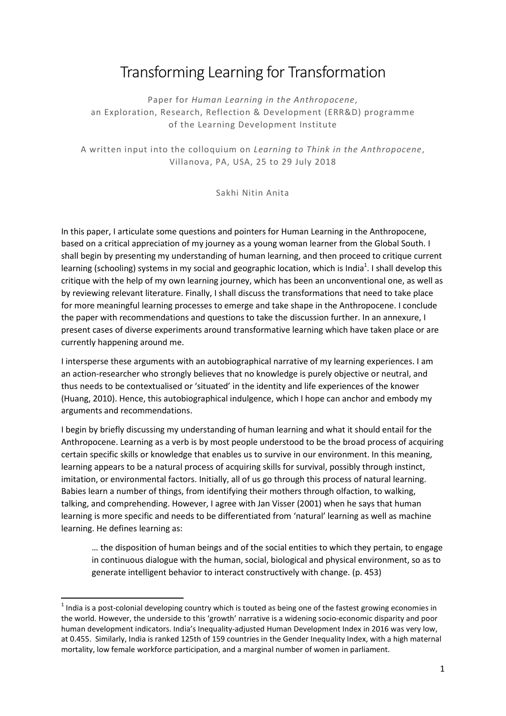# Transforming Learning for Transformation

Paper for Human Learning in the Anthropocene, an Exploration, Research, Reflection & Development (ERR&D) programme of the Learning Development Institute

A written input into the colloquium on Learning to Think in the Anthropocene, Villanova, PA, USA, 25 to 29 July 2018

Sakhi Nitin Anita

In this paper, I articulate some questions and pointers for Human Learning in the Anthropocene, based on a critical appreciation of my journey as a young woman learner from the Global South. I shall begin by presenting my understanding of human learning, and then proceed to critique current learning (schooling) systems in my social and geographic location, which is India<sup>1</sup>. I shall develop this critique with the help of my own learning journey, which has been an unconventional one, as well as by reviewing relevant literature. Finally, I shall discuss the transformations that need to take place for more meaningful learning processes to emerge and take shape in the Anthropocene. I conclude the paper with recommendations and questions to take the discussion further. In an annexure, I present cases of diverse experiments around transformative learning which have taken place or are currently happening around me.

I intersperse these arguments with an autobiographical narrative of my learning experiences. I am an action-researcher who strongly believes that no knowledge is purely objective or neutral, and thus needs to be contextualised or 'situated' in the identity and life experiences of the knower (Huang, 2010). Hence, this autobiographical indulgence, which I hope can anchor and embody my arguments and recommendations.

I begin by briefly discussing my understanding of human learning and what it should entail for the Anthropocene. Learning as a verb is by most people understood to be the broad process of acquiring certain specific skills or knowledge that enables us to survive in our environment. In this meaning, learning appears to be a natural process of acquiring skills for survival, possibly through instinct, imitation, or environmental factors. Initially, all of us go through this process of natural learning. Babies learn a number of things, from identifying their mothers through olfaction, to walking, talking, and comprehending. However, I agree with Jan Visser (2001) when he says that human learning is more specific and needs to be differentiated from 'natural' learning as well as machine learning. He defines learning as:

… the disposition of human beings and of the social entities to which they pertain, to engage in continuous dialogue with the human, social, biological and physical environment, so as to generate intelligent behavior to interact constructively with change. (p. 453)

 $1$  India is a post-colonial developing country which is touted as being one of the fastest growing economies in the world. However, the underside to this 'growth' narrative is a widening socio-economic disparity and poor human development indicators. India's Inequality-adjusted Human Development Index in 2016 was very low, at 0.455. Similarly, India is ranked 125th of 159 countries in the Gender Inequality Index, with a high maternal mortality, low female workforce participation, and a marginal number of women in parliament.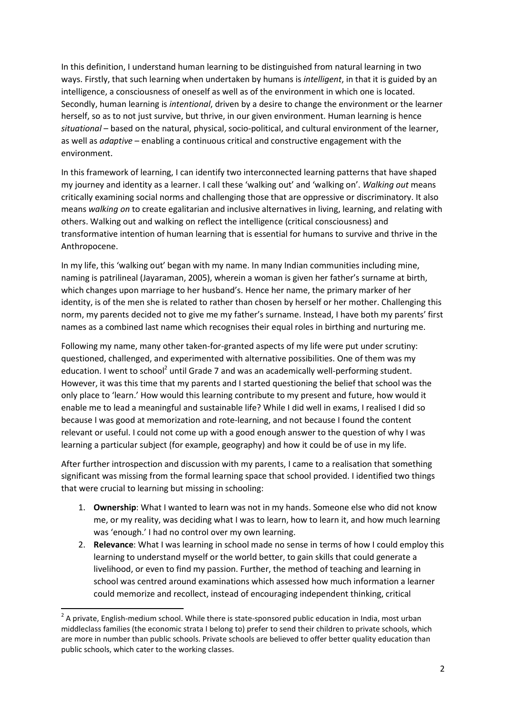In this definition, I understand human learning to be distinguished from natural learning in two ways. Firstly, that such learning when undertaken by humans is intelligent, in that it is guided by an intelligence, a consciousness of oneself as well as of the environment in which one is located. Secondly, human learning is intentional, driven by a desire to change the environment or the learner herself, so as to not just survive, but thrive, in our given environment. Human learning is hence situational – based on the natural, physical, socio-political, and cultural environment of the learner, as well as adaptive – enabling a continuous critical and constructive engagement with the environment.

In this framework of learning, I can identify two interconnected learning patterns that have shaped my journey and identity as a learner. I call these 'walking out' and 'walking on'. Walking out means critically examining social norms and challenging those that are oppressive or discriminatory. It also means walking on to create egalitarian and inclusive alternatives in living, learning, and relating with others. Walking out and walking on reflect the intelligence (critical consciousness) and transformative intention of human learning that is essential for humans to survive and thrive in the Anthropocene.

In my life, this 'walking out' began with my name. In many Indian communities including mine, naming is patrilineal (Jayaraman, 2005), wherein a woman is given her father's surname at birth, which changes upon marriage to her husband's. Hence her name, the primary marker of her identity, is of the men she is related to rather than chosen by herself or her mother. Challenging this norm, my parents decided not to give me my father's surname. Instead, I have both my parents' first names as a combined last name which recognises their equal roles in birthing and nurturing me.

Following my name, many other taken-for-granted aspects of my life were put under scrutiny: questioned, challenged, and experimented with alternative possibilities. One of them was my education. I went to school<sup>2</sup> until Grade 7 and was an academically well-performing student. However, it was this time that my parents and I started questioning the belief that school was the only place to 'learn.' How would this learning contribute to my present and future, how would it enable me to lead a meaningful and sustainable life? While I did well in exams, I realised I did so because I was good at memorization and rote-learning, and not because I found the content relevant or useful. I could not come up with a good enough answer to the question of why I was learning a particular subject (for example, geography) and how it could be of use in my life.

After further introspection and discussion with my parents, I came to a realisation that something significant was missing from the formal learning space that school provided. I identified two things that were crucial to learning but missing in schooling:

- 1. Ownership: What I wanted to learn was not in my hands. Someone else who did not know me, or my reality, was deciding what I was to learn, how to learn it, and how much learning was 'enough.' I had no control over my own learning.
- 2. Relevance: What I was learning in school made no sense in terms of how I could employ this learning to understand myself or the world better, to gain skills that could generate a livelihood, or even to find my passion. Further, the method of teaching and learning in school was centred around examinations which assessed how much information a learner could memorize and recollect, instead of encouraging independent thinking, critical

 $2$  A private, English-medium school. While there is state-sponsored public education in India, most urban middleclass families (the economic strata I belong to) prefer to send their children to private schools, which are more in number than public schools. Private schools are believed to offer better quality education than public schools, which cater to the working classes.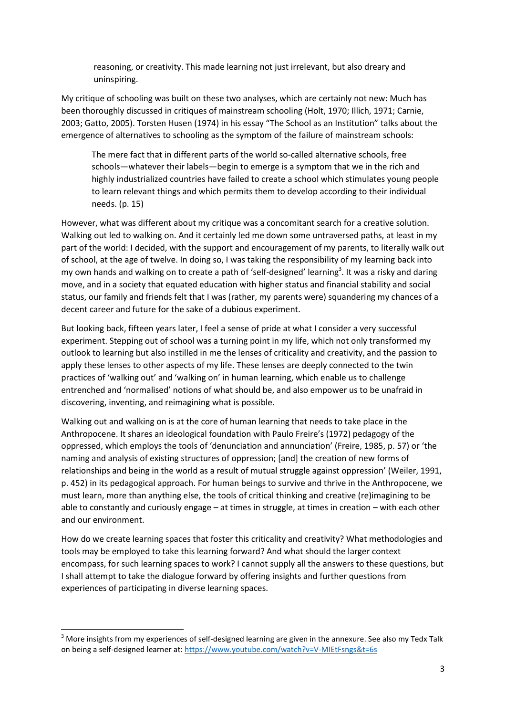reasoning, or creativity. This made learning not just irrelevant, but also dreary and uninspiring.

My critique of schooling was built on these two analyses, which are certainly not new: Much has been thoroughly discussed in critiques of mainstream schooling (Holt, 1970; Illich, 1971; Carnie, 2003; Gatto, 2005). Torsten Husen (1974) in his essay "The School as an Institution" talks about the emergence of alternatives to schooling as the symptom of the failure of mainstream schools:

The mere fact that in different parts of the world so-called alternative schools, free schools—whatever their labels—begin to emerge is a symptom that we in the rich and highly industrialized countries have failed to create a school which stimulates young people to learn relevant things and which permits them to develop according to their individual needs. (p. 15)

However, what was different about my critique was a concomitant search for a creative solution. Walking out led to walking on. And it certainly led me down some untraversed paths, at least in my part of the world: I decided, with the support and encouragement of my parents, to literally walk out of school, at the age of twelve. In doing so, I was taking the responsibility of my learning back into my own hands and walking on to create a path of 'self-designed' learning<sup>3</sup>. It was a risky and daring move, and in a society that equated education with higher status and financial stability and social status, our family and friends felt that I was (rather, my parents were) squandering my chances of a decent career and future for the sake of a dubious experiment.

But looking back, fifteen years later, I feel a sense of pride at what I consider a very successful experiment. Stepping out of school was a turning point in my life, which not only transformed my outlook to learning but also instilled in me the lenses of criticality and creativity, and the passion to apply these lenses to other aspects of my life. These lenses are deeply connected to the twin practices of 'walking out' and 'walking on' in human learning, which enable us to challenge entrenched and 'normalised' notions of what should be, and also empower us to be unafraid in discovering, inventing, and reimagining what is possible.

Walking out and walking on is at the core of human learning that needs to take place in the Anthropocene. It shares an ideological foundation with Paulo Freire's (1972) pedagogy of the oppressed, which employs the tools of 'denunciation and annunciation' (Freire, 1985, p. 57) or 'the naming and analysis of existing structures of oppression; [and] the creation of new forms of relationships and being in the world as a result of mutual struggle against oppression' (Weiler, 1991, p. 452) in its pedagogical approach. For human beings to survive and thrive in the Anthropocene, we must learn, more than anything else, the tools of critical thinking and creative (re)imagining to be able to constantly and curiously engage – at times in struggle, at times in creation – with each other and our environment.

How do we create learning spaces that foster this criticality and creativity? What methodologies and tools may be employed to take this learning forward? And what should the larger context encompass, for such learning spaces to work? I cannot supply all the answers to these questions, but I shall attempt to take the dialogue forward by offering insights and further questions from experiences of participating in diverse learning spaces.

 $3$  More insights from my experiences of self-designed learning are given in the annexure. See also my Tedx Talk on being a self-designed learner at: https://www.youtube.com/watch?v=V-MIEtFsngs&t=6s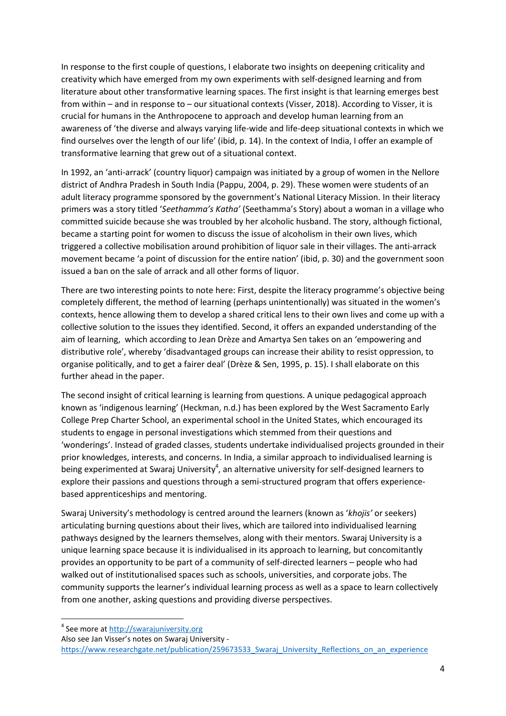In response to the first couple of questions, I elaborate two insights on deepening criticality and creativity which have emerged from my own experiments with self-designed learning and from literature about other transformative learning spaces. The first insight is that learning emerges best from within – and in response to – our situational contexts (Visser, 2018). According to Visser, it is crucial for humans in the Anthropocene to approach and develop human learning from an awareness of 'the diverse and always varying life-wide and life-deep situational contexts in which we find ourselves over the length of our life' (ibid, p. 14). In the context of India, I offer an example of transformative learning that grew out of a situational context.

In 1992, an 'anti-arrack' (country liquor) campaign was initiated by a group of women in the Nellore district of Andhra Pradesh in South India (Pappu, 2004, p. 29). These women were students of an adult literacy programme sponsored by the government's National Literacy Mission. In their literacy primers was a story titled 'Seethamma's Katha' (Seethamma's Story) about a woman in a village who committed suicide because she was troubled by her alcoholic husband. The story, although fictional, became a starting point for women to discuss the issue of alcoholism in their own lives, which triggered a collective mobilisation around prohibition of liquor sale in their villages. The anti-arrack movement became 'a point of discussion for the entire nation' (ibid, p. 30) and the government soon issued a ban on the sale of arrack and all other forms of liquor.

There are two interesting points to note here: First, despite the literacy programme's objective being completely different, the method of learning (perhaps unintentionally) was situated in the women's contexts, hence allowing them to develop a shared critical lens to their own lives and come up with a collective solution to the issues they identified. Second, it offers an expanded understanding of the aim of learning, which according to Jean Drèze and Amartya Sen takes on an 'empowering and distributive role', whereby 'disadvantaged groups can increase their ability to resist oppression, to organise politically, and to get a fairer deal' (Drèze & Sen, 1995, p. 15). I shall elaborate on this further ahead in the paper.

The second insight of critical learning is learning from questions. A unique pedagogical approach known as 'indigenous learning' (Heckman, n.d.) has been explored by the West Sacramento Early College Prep Charter School, an experimental school in the United States, which encouraged its students to engage in personal investigations which stemmed from their questions and 'wonderings'. Instead of graded classes, students undertake individualised projects grounded in their prior knowledges, interests, and concerns. In India, a similar approach to individualised learning is being experimented at Swaraj University<sup>4</sup>, an alternative university for self-designed learners to explore their passions and questions through a semi-structured program that offers experiencebased apprenticeships and mentoring.

Swaraj University's methodology is centred around the learners (known as 'khojis' or seekers) articulating burning questions about their lives, which are tailored into individualised learning pathways designed by the learners themselves, along with their mentors. Swaraj University is a unique learning space because it is individualised in its approach to learning, but concomitantly provides an opportunity to be part of a community of self-directed learners – people who had walked out of institutionalised spaces such as schools, universities, and corporate jobs. The community supports the learner's individual learning process as well as a space to learn collectively from one another, asking questions and providing diverse perspectives.

<sup>&</sup>lt;sup>4</sup> See more at http://swarajuniversity.org

Also see Jan Visser's notes on Swaraj University -

https://www.researchgate.net/publication/259673533 Swaraj\_University\_Reflections\_on\_an\_experience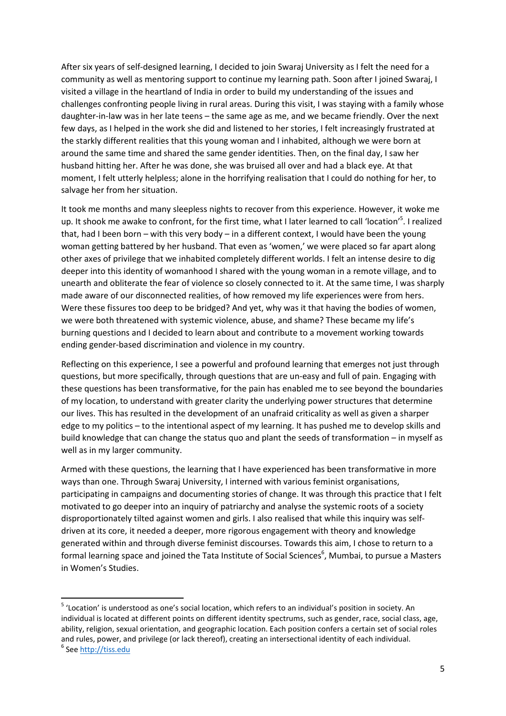After six years of self-designed learning, I decided to join Swaraj University as I felt the need for a community as well as mentoring support to continue my learning path. Soon after I joined Swaraj, I visited a village in the heartland of India in order to build my understanding of the issues and challenges confronting people living in rural areas. During this visit, I was staying with a family whose daughter-in-law was in her late teens – the same age as me, and we became friendly. Over the next few days, as I helped in the work she did and listened to her stories, I felt increasingly frustrated at the starkly different realities that this young woman and I inhabited, although we were born at around the same time and shared the same gender identities. Then, on the final day, I saw her husband hitting her. After he was done, she was bruised all over and had a black eye. At that moment, I felt utterly helpless; alone in the horrifying realisation that I could do nothing for her, to salvage her from her situation.

It took me months and many sleepless nights to recover from this experience. However, it woke me up. It shook me awake to confront, for the first time, what I later learned to call 'location'<sup>5</sup>. I realized that, had I been born – with this very body – in a different context, I would have been the young woman getting battered by her husband. That even as 'women,' we were placed so far apart along other axes of privilege that we inhabited completely different worlds. I felt an intense desire to dig deeper into this identity of womanhood I shared with the young woman in a remote village, and to unearth and obliterate the fear of violence so closely connected to it. At the same time, I was sharply made aware of our disconnected realities, of how removed my life experiences were from hers. Were these fissures too deep to be bridged? And yet, why was it that having the bodies of women, we were both threatened with systemic violence, abuse, and shame? These became my life's burning questions and I decided to learn about and contribute to a movement working towards ending gender-based discrimination and violence in my country.

Reflecting on this experience, I see a powerful and profound learning that emerges not just through questions, but more specifically, through questions that are un-easy and full of pain. Engaging with these questions has been transformative, for the pain has enabled me to see beyond the boundaries of my location, to understand with greater clarity the underlying power structures that determine our lives. This has resulted in the development of an unafraid criticality as well as given a sharper edge to my politics – to the intentional aspect of my learning. It has pushed me to develop skills and build knowledge that can change the status quo and plant the seeds of transformation – in myself as well as in my larger community.

Armed with these questions, the learning that I have experienced has been transformative in more ways than one. Through Swaraj University, I interned with various feminist organisations, participating in campaigns and documenting stories of change. It was through this practice that I felt motivated to go deeper into an inquiry of patriarchy and analyse the systemic roots of a society disproportionately tilted against women and girls. I also realised that while this inquiry was selfdriven at its core, it needed a deeper, more rigorous engagement with theory and knowledge generated within and through diverse feminist discourses. Towards this aim, I chose to return to a formal learning space and joined the Tata Institute of Social Sciences<sup>6</sup>, Mumbai, to pursue a Masters in Women's Studies.

<sup>&</sup>lt;sup>5</sup> 'Location' is understood as one's social location, which refers to an individual's position in society. An individual is located at different points on different identity spectrums, such as gender, race, social class, age, ability, religion, sexual orientation, and geographic location. Each position confers a certain set of social roles and rules, power, and privilege (or lack thereof), creating an intersectional identity of each individual. <sup>6</sup> See http://tiss.edu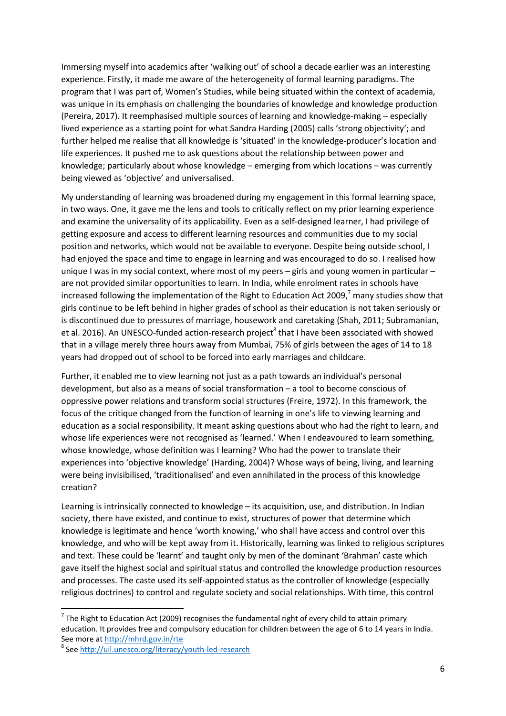Immersing myself into academics after 'walking out' of school a decade earlier was an interesting experience. Firstly, it made me aware of the heterogeneity of formal learning paradigms. The program that I was part of, Women's Studies, while being situated within the context of academia, was unique in its emphasis on challenging the boundaries of knowledge and knowledge production (Pereira, 2017). It reemphasised multiple sources of learning and knowledge-making – especially lived experience as a starting point for what Sandra Harding (2005) calls 'strong objectivity'; and further helped me realise that all knowledge is 'situated' in the knowledge-producer's location and life experiences. It pushed me to ask questions about the relationship between power and knowledge; particularly about whose knowledge – emerging from which locations – was currently being viewed as 'objective' and universalised.

My understanding of learning was broadened during my engagement in this formal learning space, in two ways. One, it gave me the lens and tools to critically reflect on my prior learning experience and examine the universality of its applicability. Even as a self-designed learner, I had privilege of getting exposure and access to different learning resources and communities due to my social position and networks, which would not be available to everyone. Despite being outside school, I had enjoyed the space and time to engage in learning and was encouraged to do so. I realised how unique I was in my social context, where most of my peers – girls and young women in particular – are not provided similar opportunities to learn. In India, while enrolment rates in schools have increased following the implementation of the Right to Education Act 2009,<sup>7</sup> many studies show that girls continue to be left behind in higher grades of school as their education is not taken seriously or is discontinued due to pressures of marriage, housework and caretaking (Shah, 2011; Subramanian, et al. 2016). An UNESCO-funded action-research project<sup>8</sup> that I have been associated with showed that in a village merely three hours away from Mumbai, 75% of girls between the ages of 14 to 18 years had dropped out of school to be forced into early marriages and childcare.

Further, it enabled me to view learning not just as a path towards an individual's personal development, but also as a means of social transformation – a tool to become conscious of oppressive power relations and transform social structures (Freire, 1972). In this framework, the focus of the critique changed from the function of learning in one's life to viewing learning and education as a social responsibility. It meant asking questions about who had the right to learn, and whose life experiences were not recognised as 'learned.' When I endeavoured to learn something, whose knowledge, whose definition was I learning? Who had the power to translate their experiences into 'objective knowledge' (Harding, 2004)? Whose ways of being, living, and learning were being invisibilised, 'traditionalised' and even annihilated in the process of this knowledge creation?

Learning is intrinsically connected to knowledge – its acquisition, use, and distribution. In Indian society, there have existed, and continue to exist, structures of power that determine which knowledge is legitimate and hence 'worth knowing,' who shall have access and control over this knowledge, and who will be kept away from it. Historically, learning was linked to religious scriptures and text. These could be 'learnt' and taught only by men of the dominant 'Brahman' caste which gave itself the highest social and spiritual status and controlled the knowledge production resources and processes. The caste used its self-appointed status as the controller of knowledge (especially religious doctrines) to control and regulate society and social relationships. With time, this control

 $^7$  The Right to Education Act (2009) recognises the fundamental right of every child to attain primary education. It provides free and compulsory education for children between the age of 6 to 14 years in India. See more at http://mhrd.gov.in/rte

<sup>&</sup>lt;sup>8</sup> See http://uil.unesco.org/literacy/youth-led-research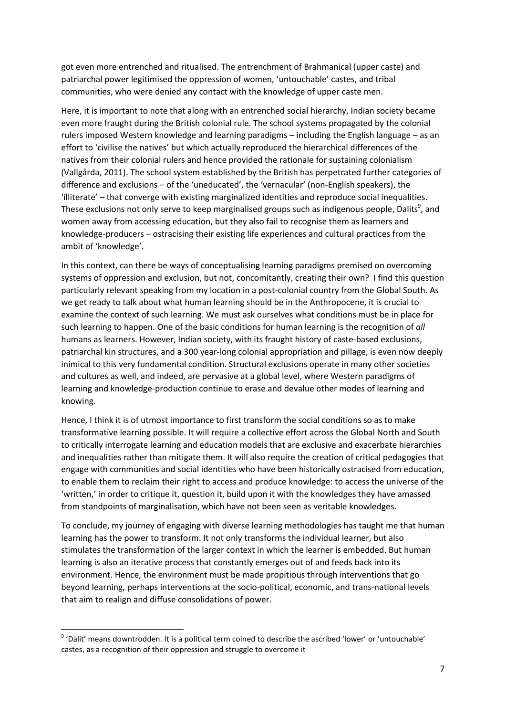got even more entrenched and ritualised. The entrenchment of Brahmanical (upper caste) and patriarchal power legitimised the oppression of women, 'untouchable' castes, and tribal communities, who were denied any contact with the knowledge of upper caste men.

Here, it is important to note that along with an entrenched social hierarchy, Indian society became even more fraught during the British colonial rule. The school systems propagated by the colonial rulers imposed Western knowledge and learning paradigms – including the English language – as an effort to 'civilise the natives' but which actually reproduced the hierarchical differences of the natives from their colonial rulers and hence provided the rationale for sustaining colonialism (Vallgårda, 2011). The school system established by the British has perpetrated further categories of difference and exclusions – of the 'uneducated', the 'vernacular' (non-English speakers), the 'illiterate' – that converge with existing marginalized identities and reproduce social inequalities. These exclusions not only serve to keep marginalised groups such as indigenous people, Dalits<sup>9</sup>, and women away from accessing education, but they also fail to recognise them as learners and knowledge-producers – ostracising their existing life experiences and cultural practices from the ambit of 'knowledge'.

In this context, can there be ways of conceptualising learning paradigms premised on overcoming systems of oppression and exclusion, but not, concomitantly, creating their own? I find this question particularly relevant speaking from my location in a post-colonial country from the Global South. As we get ready to talk about what human learning should be in the Anthropocene, it is crucial to examine the context of such learning. We must ask ourselves what conditions must be in place for such learning to happen. One of the basic conditions for human learning is the recognition of all humans as learners. However, Indian society, with its fraught history of caste-based exclusions, patriarchal kin structures, and a 300 year-long colonial appropriation and pillage, is even now deeply inimical to this very fundamental condition. Structural exclusions operate in many other societies and cultures as well, and indeed, are pervasive at a global level, where Western paradigms of learning and knowledge-production continue to erase and devalue other modes of learning and knowing.

Hence, I think it is of utmost importance to first transform the social conditions so as to make transformative learning possible. It will require a collective effort across the Global North and South to critically interrogate learning and education models that are exclusive and exacerbate hierarchies and inequalities rather than mitigate them. It will also require the creation of critical pedagogies that engage with communities and social identities who have been historically ostracised from education, to enable them to reclaim their right to access and produce knowledge: to access the universe of the 'written,' in order to critique it, question it, build upon it with the knowledges they have amassed from standpoints of marginalisation, which have not been seen as veritable knowledges.

To conclude, my journey of engaging with diverse learning methodologies has taught me that human learning has the power to transform. It not only transforms the individual learner, but also stimulates the transformation of the larger context in which the learner is embedded. But human learning is also an iterative process that constantly emerges out of and feeds back into its environment. Hence, the environment must be made propitious through interventions that go beyond learning, perhaps interventions at the socio-political, economic, and trans-national levels that aim to realign and diffuse consolidations of power.

<sup>&</sup>lt;sup>9</sup> 'Dalit' means downtrodden. It is a political term coined to describe the ascribed 'lower' or 'untouchable' castes, as a recognition of their oppression and struggle to overcome it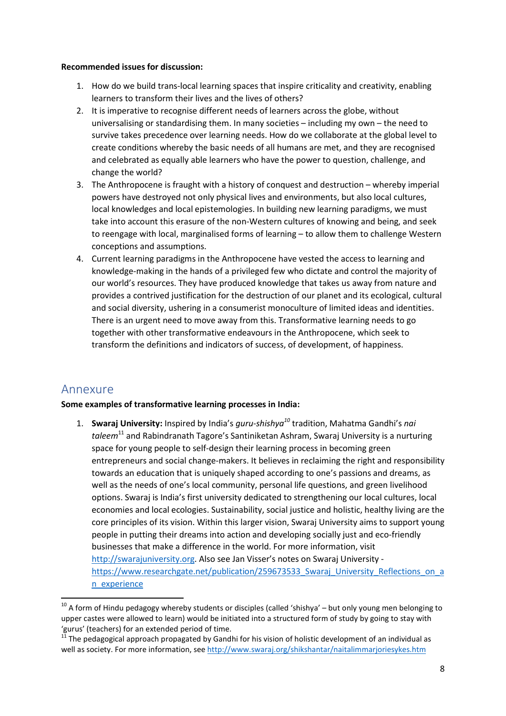#### Recommended issues for discussion:

- 1. How do we build trans-local learning spaces that inspire criticality and creativity, enabling learners to transform their lives and the lives of others?
- 2. It is imperative to recognise different needs of learners across the globe, without universalising or standardising them. In many societies – including my own – the need to survive takes precedence over learning needs. How do we collaborate at the global level to create conditions whereby the basic needs of all humans are met, and they are recognised and celebrated as equally able learners who have the power to question, challenge, and change the world?
- 3. The Anthropocene is fraught with a history of conquest and destruction whereby imperial powers have destroyed not only physical lives and environments, but also local cultures, local knowledges and local epistemologies. In building new learning paradigms, we must take into account this erasure of the non-Western cultures of knowing and being, and seek to reengage with local, marginalised forms of learning – to allow them to challenge Western conceptions and assumptions.
- 4. Current learning paradigms in the Anthropocene have vested the access to learning and knowledge-making in the hands of a privileged few who dictate and control the majority of our world's resources. They have produced knowledge that takes us away from nature and provides a contrived justification for the destruction of our planet and its ecological, cultural and social diversity, ushering in a consumerist monoculture of limited ideas and identities. There is an urgent need to move away from this. Transformative learning needs to go together with other transformative endeavours in the Anthropocene, which seek to transform the definitions and indicators of success, of development, of happiness.

## Annexure

-

### Some examples of transformative learning processes in India:

1. Swaraj University: Inspired by India's guru-shishya<sup>10</sup> tradition, Mahatma Gandhi's nai taleem<sup>11</sup> and Rabindranath Tagore's Santiniketan Ashram, Swaraj University is a nurturing space for young people to self-design their learning process in becoming green entrepreneurs and social change-makers. It believes in reclaiming the right and responsibility towards an education that is uniquely shaped according to one's passions and dreams, as well as the needs of one's local community, personal life questions, and green livelihood options. Swaraj is India's first university dedicated to strengthening our local cultures, local economies and local ecologies. Sustainability, social justice and holistic, healthy living are the core principles of its vision. Within this larger vision, Swaraj University aims to support young people in putting their dreams into action and developing socially just and eco-friendly businesses that make a difference in the world. For more information, visit http://swarajuniversity.org. Also see Jan Visser's notes on Swaraj University https://www.researchgate.net/publication/259673533 Swaraj\_University\_Reflections\_on\_a n\_experience

<sup>&</sup>lt;sup>10</sup> A form of Hindu pedagogy whereby students or disciples (called 'shishya' – but only young men belonging to upper castes were allowed to learn) would be initiated into a structured form of study by going to stay with 'gurus' (teachers) for an extended period of time.

<sup>11</sup> The pedagogical approach propagated by Gandhi for his vision of holistic development of an individual as well as society. For more information, see http://www.swaraj.org/shikshantar/naitalimmarjoriesykes.htm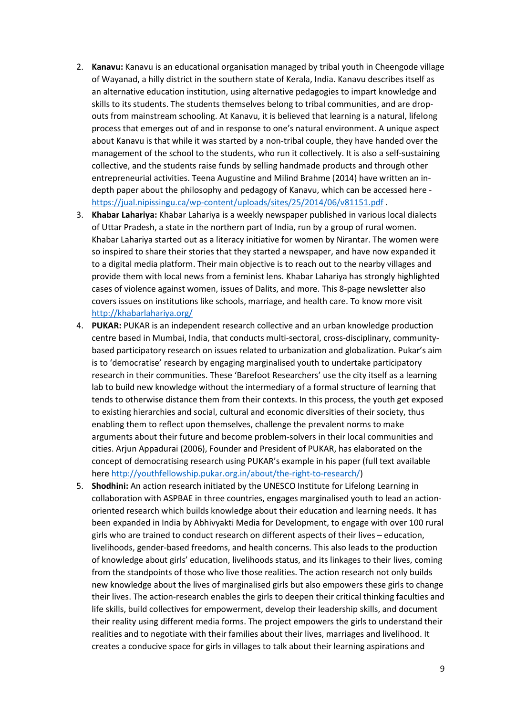- 2. Kanavu: Kanavu is an educational organisation managed by tribal youth in Cheengode village of Wayanad, a hilly district in the southern state of Kerala, India. Kanavu describes itself as an alternative education institution, using alternative pedagogies to impart knowledge and skills to its students. The students themselves belong to tribal communities, and are dropouts from mainstream schooling. At Kanavu, it is believed that learning is a natural, lifelong process that emerges out of and in response to one's natural environment. A unique aspect about Kanavu is that while it was started by a non-tribal couple, they have handed over the management of the school to the students, who run it collectively. It is also a self-sustaining collective, and the students raise funds by selling handmade products and through other entrepreneurial activities. Teena Augustine and Milind Brahme (2014) have written an indepth paper about the philosophy and pedagogy of Kanavu, which can be accessed here https://jual.nipissingu.ca/wp-content/uploads/sites/25/2014/06/v81151.pdf.
- 3. Khabar Lahariya: Khabar Lahariya is a weekly newspaper published in various local dialects of Uttar Pradesh, a state in the northern part of India, run by a group of rural women. Khabar Lahariya started out as a literacy initiative for women by Nirantar. The women were so inspired to share their stories that they started a newspaper, and have now expanded it to a digital media platform. Their main objective is to reach out to the nearby villages and provide them with local news from a feminist lens. Khabar Lahariya has strongly highlighted cases of violence against women, issues of Dalits, and more. This 8-page newsletter also covers issues on institutions like schools, marriage, and health care. To know more visit http://khabarlahariya.org/
- 4. PUKAR: PUKAR is an independent research collective and an urban knowledge production centre based in Mumbai, India, that conducts multi-sectoral, cross-disciplinary, communitybased participatory research on issues related to urbanization and globalization. Pukar's aim is to 'democratise' research by engaging marginalised youth to undertake participatory research in their communities. These 'Barefoot Researchers' use the city itself as a learning lab to build new knowledge without the intermediary of a formal structure of learning that tends to otherwise distance them from their contexts. In this process, the youth get exposed to existing hierarchies and social, cultural and economic diversities of their society, thus enabling them to reflect upon themselves, challenge the prevalent norms to make arguments about their future and become problem-solvers in their local communities and cities. Arjun Appadurai (2006), Founder and President of PUKAR, has elaborated on the concept of democratising research using PUKAR's example in his paper (full text available here http://youthfellowship.pukar.org.in/about/the-right-to-research/)
- 5. Shodhini: An action research initiated by the UNESCO Institute for Lifelong Learning in collaboration with ASPBAE in three countries, engages marginalised youth to lead an actionoriented research which builds knowledge about their education and learning needs. It has been expanded in India by Abhivyakti Media for Development, to engage with over 100 rural girls who are trained to conduct research on different aspects of their lives – education, livelihoods, gender-based freedoms, and health concerns. This also leads to the production of knowledge about girls' education, livelihoods status, and its linkages to their lives, coming from the standpoints of those who live those realities. The action research not only builds new knowledge about the lives of marginalised girls but also empowers these girls to change their lives. The action-research enables the girls to deepen their critical thinking faculties and life skills, build collectives for empowerment, develop their leadership skills, and document their reality using different media forms. The project empowers the girls to understand their realities and to negotiate with their families about their lives, marriages and livelihood. It creates a conducive space for girls in villages to talk about their learning aspirations and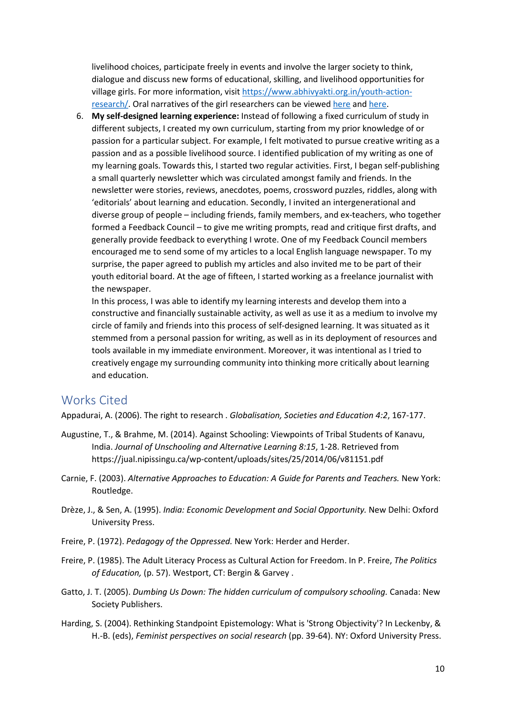livelihood choices, participate freely in events and involve the larger society to think, dialogue and discuss new forms of educational, skilling, and livelihood opportunities for village girls. For more information, visit https://www.abhivyakti.org.in/youth-actionresearch/. Oral narratives of the girl researchers can be viewed here and here.

6. My self-designed learning experience: Instead of following a fixed curriculum of study in different subjects, I created my own curriculum, starting from my prior knowledge of or passion for a particular subject. For example, I felt motivated to pursue creative writing as a passion and as a possible livelihood source. I identified publication of my writing as one of my learning goals. Towards this, I started two regular activities. First, I began self-publishing a small quarterly newsletter which was circulated amongst family and friends. In the newsletter were stories, reviews, anecdotes, poems, crossword puzzles, riddles, along with 'editorials' about learning and education. Secondly, I invited an intergenerational and diverse group of people – including friends, family members, and ex-teachers, who together formed a Feedback Council – to give me writing prompts, read and critique first drafts, and generally provide feedback to everything I wrote. One of my Feedback Council members encouraged me to send some of my articles to a local English language newspaper. To my surprise, the paper agreed to publish my articles and also invited me to be part of their youth editorial board. At the age of fifteen, I started working as a freelance journalist with the newspaper.

In this process, I was able to identify my learning interests and develop them into a constructive and financially sustainable activity, as well as use it as a medium to involve my circle of family and friends into this process of self-designed learning. It was situated as it stemmed from a personal passion for writing, as well as in its deployment of resources and tools available in my immediate environment. Moreover, it was intentional as I tried to creatively engage my surrounding community into thinking more critically about learning and education.

### Works Cited

Appadurai, A. (2006). The right to research . Globalisation, Societies and Education 4:2, 167-177.

- Augustine, T., & Brahme, M. (2014). Against Schooling: Viewpoints of Tribal Students of Kanavu, India. Journal of Unschooling and Alternative Learning 8:15, 1-28. Retrieved from https://jual.nipissingu.ca/wp-content/uploads/sites/25/2014/06/v81151.pdf
- Carnie, F. (2003). Alternative Approaches to Education: A Guide for Parents and Teachers. New York: Routledge.
- Drèze, J., & Sen, A. (1995). India: Economic Development and Social Opportunity. New Delhi: Oxford University Press.
- Freire, P. (1972). Pedagogy of the Oppressed. New York: Herder and Herder.
- Freire, P. (1985). The Adult Literacy Process as Cultural Action for Freedom. In P. Freire, The Politics of Education, (p. 57). Westport, CT: Bergin & Garvey.
- Gatto, J. T. (2005). Dumbing Us Down: The hidden curriculum of compulsory schooling. Canada: New Society Publishers.
- Harding, S. (2004). Rethinking Standpoint Epistemology: What is 'Strong Objectivity'? In Leckenby, & H.-B. (eds), Feminist perspectives on social research (pp. 39-64). NY: Oxford University Press.